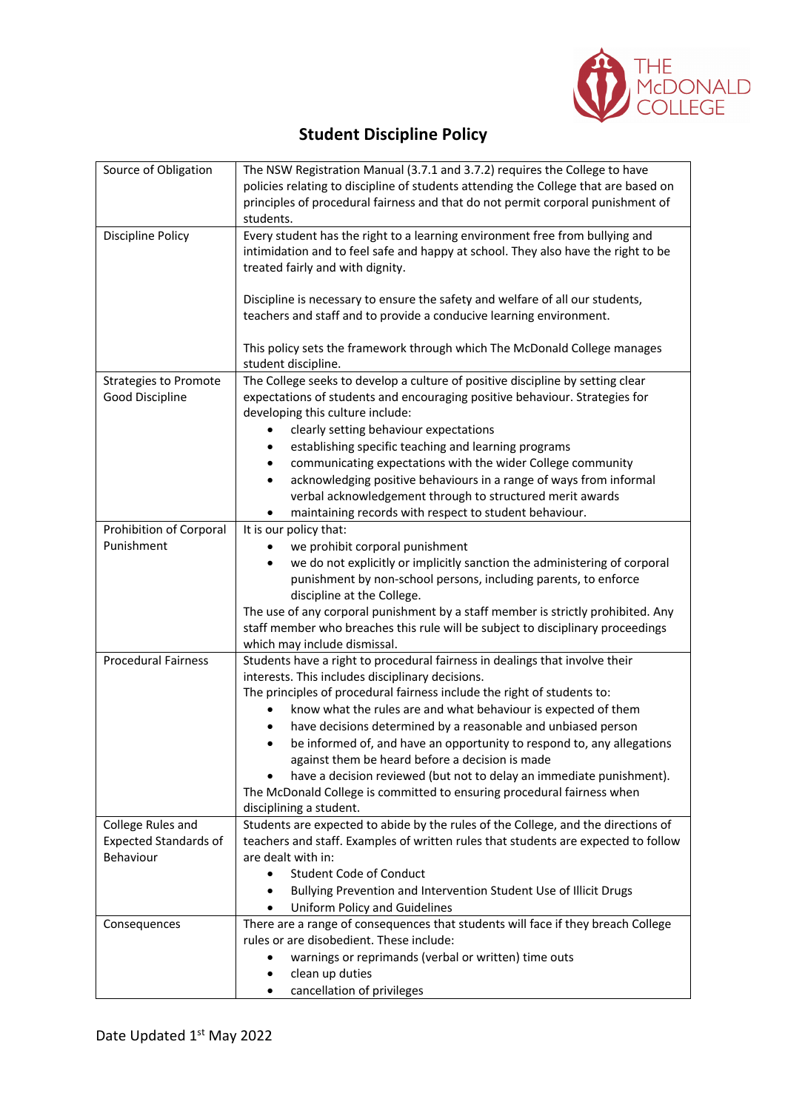

## **Student Discipline Policy**

| Source of Obligation                              | The NSW Registration Manual (3.7.1 and 3.7.2) requires the College to have<br>policies relating to discipline of students attending the College that are based on                                                                                                                                                                                                                                                                                                                                                                      |
|---------------------------------------------------|----------------------------------------------------------------------------------------------------------------------------------------------------------------------------------------------------------------------------------------------------------------------------------------------------------------------------------------------------------------------------------------------------------------------------------------------------------------------------------------------------------------------------------------|
|                                                   | principles of procedural fairness and that do not permit corporal punishment of<br>students.                                                                                                                                                                                                                                                                                                                                                                                                                                           |
| Discipline Policy                                 | Every student has the right to a learning environment free from bullying and<br>intimidation and to feel safe and happy at school. They also have the right to be<br>treated fairly and with dignity.<br>Discipline is necessary to ensure the safety and welfare of all our students,                                                                                                                                                                                                                                                 |
|                                                   | teachers and staff and to provide a conducive learning environment.                                                                                                                                                                                                                                                                                                                                                                                                                                                                    |
|                                                   | This policy sets the framework through which The McDonald College manages<br>student discipline.                                                                                                                                                                                                                                                                                                                                                                                                                                       |
| <b>Strategies to Promote</b><br>Good Discipline   | The College seeks to develop a culture of positive discipline by setting clear<br>expectations of students and encouraging positive behaviour. Strategies for<br>developing this culture include:<br>clearly setting behaviour expectations<br>٠<br>establishing specific teaching and learning programs<br>٠<br>communicating expectations with the wider College community<br>٠<br>acknowledging positive behaviours in a range of ways from informal<br>$\bullet$<br>verbal acknowledgement through to structured merit awards      |
| Prohibition of Corporal                           | maintaining records with respect to student behaviour.<br>٠<br>It is our policy that:                                                                                                                                                                                                                                                                                                                                                                                                                                                  |
| Punishment                                        | we prohibit corporal punishment<br>we do not explicitly or implicitly sanction the administering of corporal<br>$\bullet$<br>punishment by non-school persons, including parents, to enforce<br>discipline at the College.<br>The use of any corporal punishment by a staff member is strictly prohibited. Any<br>staff member who breaches this rule will be subject to disciplinary proceedings<br>which may include dismissal.                                                                                                      |
| <b>Procedural Fairness</b>                        | Students have a right to procedural fairness in dealings that involve their<br>interests. This includes disciplinary decisions.                                                                                                                                                                                                                                                                                                                                                                                                        |
|                                                   | The principles of procedural fairness include the right of students to:<br>know what the rules are and what behaviour is expected of them<br>$\bullet$<br>have decisions determined by a reasonable and unbiased person<br>be informed of, and have an opportunity to respond to, any allegations<br>٠<br>against them be heard before a decision is made<br>have a decision reviewed (but not to delay an immediate punishment).<br>The McDonald College is committed to ensuring procedural fairness when<br>disciplining a student. |
| College Rules and<br><b>Expected Standards of</b> | Students are expected to abide by the rules of the College, and the directions of<br>teachers and staff. Examples of written rules that students are expected to follow                                                                                                                                                                                                                                                                                                                                                                |
| Behaviour                                         | are dealt with in:                                                                                                                                                                                                                                                                                                                                                                                                                                                                                                                     |
|                                                   | <b>Student Code of Conduct</b><br>$\bullet$<br>Bullying Prevention and Intervention Student Use of Illicit Drugs<br>٠<br>Uniform Policy and Guidelines                                                                                                                                                                                                                                                                                                                                                                                 |
| Consequences                                      | There are a range of consequences that students will face if they breach College                                                                                                                                                                                                                                                                                                                                                                                                                                                       |
|                                                   | rules or are disobedient. These include:<br>warnings or reprimands (verbal or written) time outs<br>clean up duties                                                                                                                                                                                                                                                                                                                                                                                                                    |
|                                                   | cancellation of privileges                                                                                                                                                                                                                                                                                                                                                                                                                                                                                                             |